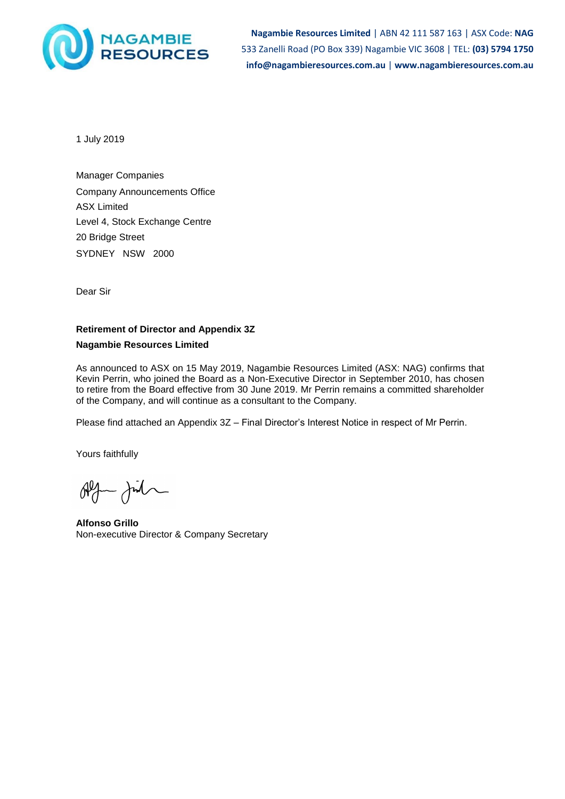

**Nagambie Resources Limited** | ABN 42 111 587 163 | ASX Code: **NAG** 533 Zanelli Road (PO Box 339) Nagambie VIC 3608 | TEL: **(03) 5794 1750 info@nagambieresources.com.au** | **www.nagambieresources.com.au**

1 July 2019

Manager Companies Company Announcements Office ASX Limited Level 4, Stock Exchange Centre 20 Bridge Street SYDNEY NSW 2000

Dear Sir

# **Retirement of Director and Appendix 3Z**

## **Nagambie Resources Limited**

As announced to ASX on 15 May 2019, Nagambie Resources Limited (ASX: NAG) confirms that Kevin Perrin, who joined the Board as a Non-Executive Director in September 2010, has chosen to retire from the Board effective from 30 June 2019. Mr Perrin remains a committed shareholder of the Company, and will continue as a consultant to the Company.

Please find attached an Appendix 3Z – Final Director's Interest Notice in respect of Mr Perrin.

Yours faithfully

 $\begin{picture}(120,115) \put(0,0){\line(1,0){10}} \put(15,0){\line(1,0){10}} \put(15,0){\line(1,0){10}} \put(15,0){\line(1,0){10}} \put(15,0){\line(1,0){10}} \put(15,0){\line(1,0){10}} \put(15,0){\line(1,0){10}} \put(15,0){\line(1,0){10}} \put(15,0){\line(1,0){10}} \put(15,0){\line(1,0){10}} \put(15,0){\line(1,0){10}} \put(15,0){\line$ 

**Alfonso Grillo** Non-executive Director & Company Secretary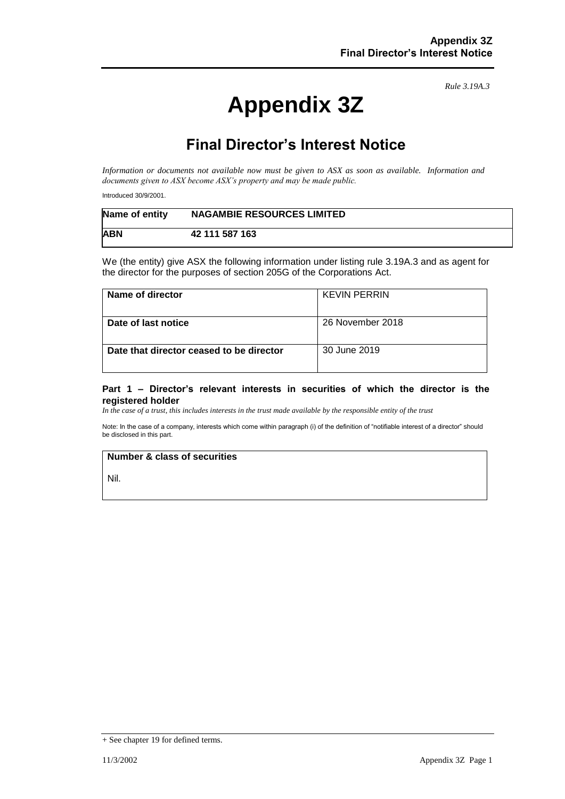*Rule 3.19A.3*

# **Appendix 3Z**

# **Final Director's Interest Notice**

*Information or documents not available now must be given to ASX as soon as available. Information and documents given to ASX become ASX's property and may be made public.*

Introduced 30/9/2001.

| Name of entity | <b>NAGAMBIE RESOURCES LIMITED</b> |
|----------------|-----------------------------------|
| <b>ABN</b>     | 42 111 587 163                    |

We (the entity) give ASX the following information under listing rule 3.19A.3 and as agent for the director for the purposes of section 205G of the Corporations Act.

| Name of director                         | <b>KEVIN PERRIN</b> |
|------------------------------------------|---------------------|
| Date of last notice                      | 26 November 2018    |
| Date that director ceased to be director | 30 June 2019        |

#### **Part 1 – Director's relevant interests in securities of which the director is the registered holder**

*In the case of a trust, this includes interests in the trust made available by the responsible entity of the trust*

Note: In the case of a company, interests which come within paragraph (i) of the definition of "notifiable interest of a director" should be disclosed in this part.

#### **Number & class of securities**

Nil.

<sup>+</sup> See chapter 19 for defined terms.